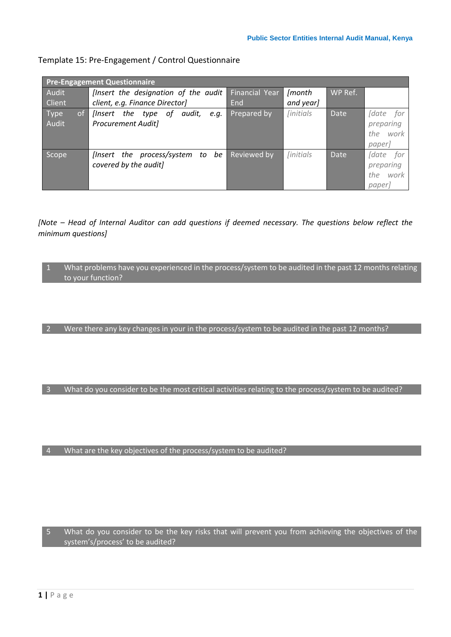## Template 15: Pre-Engagement / Control Questionnaire

| <b>Pre-Engagement Questionnaire</b> |                                                                             |                |                                 |             |                                                       |  |
|-------------------------------------|-----------------------------------------------------------------------------|----------------|---------------------------------|-------------|-------------------------------------------------------|--|
| Audit                               | [Insert the designation of the audit                                        | Financial Year | [month                          | WP Ref.     |                                                       |  |
| Client                              | client, e.g. Finance Director]                                              | End            | and year]                       |             |                                                       |  |
| of<br><b>Type</b><br>Audit          | the<br>οf<br>audit,<br>llnsert<br>type<br>e.a.<br><b>Procurement Audit]</b> | Prepared by    | <i><u><b>[initials]</b></u></i> | <b>Date</b> | <i>fdate</i> for<br>preparing<br>the work<br>paper]   |  |
| Scope                               | [Insert the process/system to be<br>covered by the audit]                   | Reviewed by    | <i><u>linitials</u></i>         | Date        | <i>date</i> for<br>preparing<br>the<br>work<br>paper] |  |

*[Note – Head of Internal Auditor can add questions if deemed necessary. The questions below reflect the minimum questions]*

1 What problems have you experienced in the process/system to be audited in the past 12 months relating to your function?

2 Were there any key changes in your in the process/system to be audited in the past 12 months?

3 What do you consider to be the most critical activities relating to the process/system to be audited?

4 What are the key objectives of the process/system to be audited?

5 What do you consider to be the key risks that will prevent you from achieving the objectives of the system's/process' to be audited?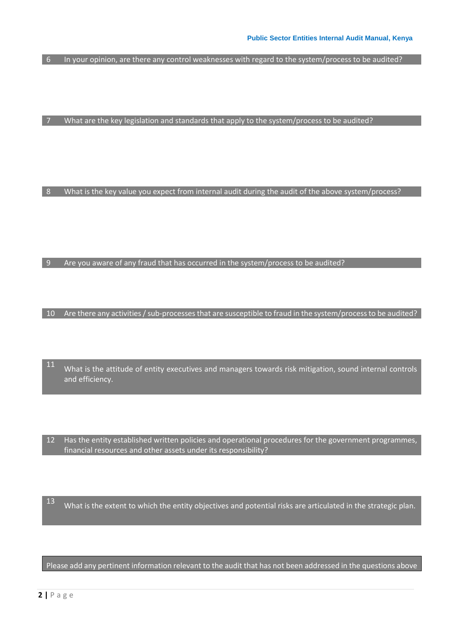$\boxed{6}$  In your opinion, are there any control weaknesses with regard to the system/process to be audited?

 $|7 \rangle$  What are the key legislation and standards that apply to the system/process to be audited?

8 What is the key value you expect from internal audit during the audit of the above system/process?

9 Are you aware of any fraud that has occurred in the system/process to be audited?

10 Are there any activities / sub-processes that are susceptible to fraud in the system/process to be audited?

<sup>11</sup> What is the attitude of entity executives and managers towards risk mitigation, sound internal controls and efficiency.

12 Has the entity established written policies and operational procedures for the government programmes, financial resources and other assets under its responsibility?

13 What is the extent to which the entity objectives and potential risks are articulated in the strategic plan.

Please add any pertinent information relevant to the audit that has not been addressed in the questions above